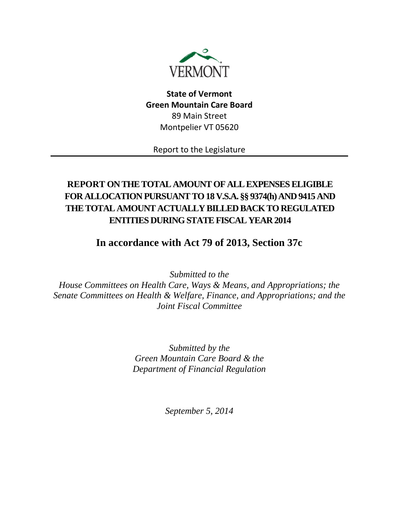

## **State of Vermont Green Mountain Care Board** 89 Main Street Montpelier VT 05620

Report to the Legislature

# **REPORT ON THE TOTAL AMOUNT OF ALL EXPENSES ELIGIBLE FOR ALLOCATION PURSUANTTO 18 V.S.A. §§ 9374(h) AND 9415 AND THE TOTAL AMOUNT ACTUALLY BILLED BACK TO REGULATED ENTITIES DURING STATE FISCAL YEAR 2014**

# **In accordance with Act 79 of 2013, Section 37c**

*Submitted to the*

*House Committees on Health Care, Ways & Means, and Appropriations; the Senate Committees on Health & Welfare, Finance, and Appropriations; and the Joint Fiscal Committee*

> *Submitted by the Green Mountain Care Board & the Department of Financial Regulation*

> > *September 5, 2014*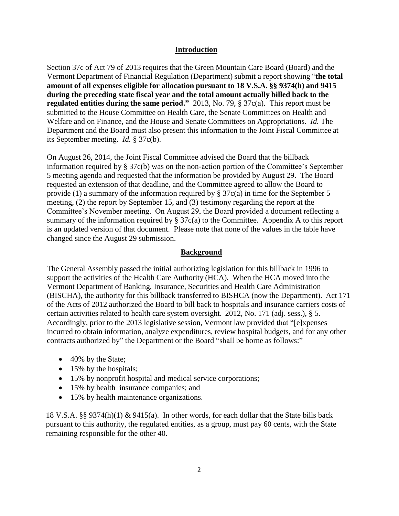#### **Introduction**

Section 37c of Act 79 of 2013 requires that the Green Mountain Care Board (Board) and the Vermont Department of Financial Regulation (Department) submit a report showing "**the total amount of all expenses eligible for allocation pursuant to 18 V.S.A. §§ 9374(h) and 9415 during the preceding state fiscal year and the total amount actually billed back to the regulated entities during the same period."** 2013, No. 79, § 37c(a). This report must be submitted to the House Committee on Health Care, the Senate Committees on Health and Welfare and on Finance, and the House and Senate Committees on Appropriations. *Id.* The Department and the Board must also present this information to the Joint Fiscal Committee at its September meeting. *Id.* § 37c(b).

On August 26, 2014, the Joint Fiscal Committee advised the Board that the billback information required by § 37c(b) was on the non-action portion of the Committee's September 5 meeting agenda and requested that the information be provided by August 29. The Board requested an extension of that deadline, and the Committee agreed to allow the Board to provide (1) a summary of the information required by  $\S 37c(a)$  in time for the September 5 meeting, (2) the report by September 15, and (3) testimony regarding the report at the Committee's November meeting. On August 29, the Board provided a document reflecting a summary of the information required by  $\S 37c(a)$  to the Committee. Appendix A to this report is an updated version of that document. Please note that none of the values in the table have changed since the August 29 submission.

#### **Background**

The General Assembly passed the initial authorizing legislation for this billback in 1996 to support the activities of the Health Care Authority (HCA). When the HCA moved into the Vermont Department of Banking, Insurance, Securities and Health Care Administration (BISCHA), the authority for this billback transferred to BISHCA (now the Department). Act 171 of the Acts of 2012 authorized the Board to bill back to hospitals and insurance carriers costs of certain activities related to health care system oversight. 2012, No. 171 (adj. sess.), § 5. Accordingly, prior to the 2013 legislative session, Vermont law provided that "[e]xpenses incurred to obtain information, analyze expenditures, review hospital budgets, and for any other contracts authorized by" the Department or the Board "shall be borne as follows:"

- 40% by the State;
- 15% by the hospitals;
- 15% by nonprofit hospital and medical service corporations;
- 15% by health insurance companies; and
- 15% by health maintenance organizations.

18 V.S.A. §§ 9374(h)(1) & 9415(a). In other words, for each dollar that the State bills back pursuant to this authority, the regulated entities, as a group, must pay 60 cents, with the State remaining responsible for the other 40.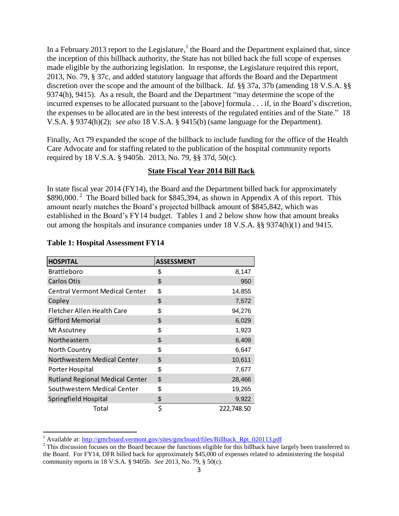In a February 2013 report to the Legislature,  $\frac{1}{2}$  the Board and the Department explained that, since the inception of this billback authority, the State has not billed back the full scope of expenses made eligible by the authorizing legislation. In response, the Legislature required this report, 2013, No. 79, § 37c, and added statutory language that affords the Board and the Department discretion over the scope and the amount of the billback. *Id.* §§ 37a, 37b (amending 18 V.S.A. §§ 9374(h), 9415). As a result, the Board and the Department "may determine the scope of the incurred expenses to be allocated pursuant to the [above] formula . . . if, in the Board's discretion, the expenses to be allocated are in the best interests of the regulated entities and of the State." 18 V.S.A. § 9374(h)(2); *see also* 18 V.S.A. § 9415(b) (same language for the Department).

Finally, Act 79 expanded the scope of the billback to include funding for the office of the Health Care Advocate and for staffing related to the publication of the hospital community reports required by 18 V.S.A. § 9405b. 2013, No. 79, §§ 37d, 50(c).

#### **State Fiscal Year 2014 Bill Back**

In state fiscal year 2014 (FY14), the Board and the Department billed back for approximately \$890,000.<sup>2</sup> The Board billed back for \$845,394, as shown in Appendix A of this report. This amount nearly matches the Board's projected billback amount of \$845,842, which was established in the Board's FY14 budget. Tables 1 and 2 below show how that amount breaks out among the hospitals and insurance companies under 18 V.S.A. §§ 9374(h)(1) and 9415.

| <b>HOSPITAL</b>                        | <b>ASSESSMENT</b> |            |
|----------------------------------------|-------------------|------------|
| <b>Brattleboro</b>                     | \$                | 8,147      |
| Carlos Otis                            | \$                | 950        |
| <b>Central Vermont Medical Center</b>  | \$                | 14,855     |
| Copley                                 | \$                | 7,572      |
| Fletcher Allen Health Care             | \$                | 94,276     |
| <b>Gifford Memorial</b>                | \$                | 6,029      |
| Mt Ascutney                            | \$                | 1,923      |
| Northeastern                           | \$                | 6,409      |
| North Country                          | \$                | 6,647      |
| Northwestern Medical Center            | \$                | 10,611     |
| Porter Hospital                        | \$                | 7,677      |
| <b>Rutland Regional Medical Center</b> | \$                | 28,466     |
| Southwestern Medical Center            | \$                | 19,265     |
| Springfield Hospital                   | \$                | 9,922      |
| Total                                  | \$                | 222,748.50 |

#### **Table 1: Hospital Assessment FY14**

 $\overline{a}$ 

<sup>1</sup> Available at: [http://gmcboard.vermont.gov/sites/gmcboard/files/Billback\\_Rpt\\_020113.pdf](http://gmcboard.vermont.gov/sites/gmcboard/files/Billback_Rpt_020113.pdf)

<sup>&</sup>lt;sup>2</sup> This discussion focuses on the Board because the functions eligible for this billback have largely been transferred to the Board. For FY14, DFR billed back for approximately \$45,000 of expenses related to administering the hospital community reports in 18 V.S.A. § 9405b. *See* 2013, No. 79, § 50(c).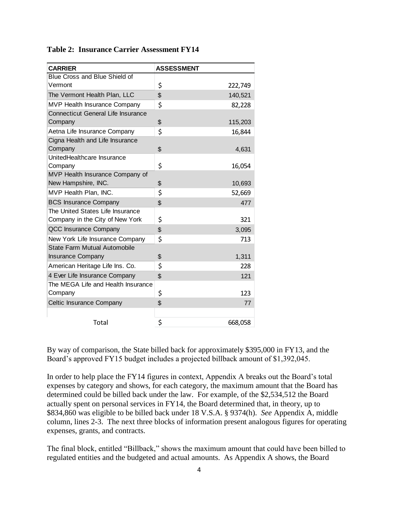| <b>CARRIER</b>                            | <b>ASSESSMENT</b> |         |
|-------------------------------------------|-------------------|---------|
| Blue Cross and Blue Shield of             |                   |         |
| Vermont                                   | \$                | 222,749 |
| The Vermont Health Plan, LLC              | \$                | 140,521 |
| MVP Health Insurance Company              | \$                | 82,228  |
| <b>Connecticut General Life Insurance</b> |                   |         |
| Company                                   | \$                | 115,203 |
| Aetna Life Insurance Company              | \$                | 16,844  |
| Cigna Health and Life Insurance           |                   |         |
| Company                                   | \$                | 4,631   |
| UnitedHealthcare Insurance                |                   |         |
| Company                                   | \$                | 16,054  |
| MVP Health Insurance Company of           |                   |         |
| New Hampshire, INC.                       | \$                | 10,693  |
| MVP Health Plan, INC.                     | \$                | 52,669  |
| <b>BCS Insurance Company</b>              | \$                | 477     |
| The United States Life Insurance          |                   |         |
| Company in the City of New York           | \$                | 321     |
| QCC Insurance Company                     | \$                | 3,095   |
| New York Life Insurance Company           | \$                | 713     |
| <b>State Farm Mutual Automobile</b>       |                   |         |
| <b>Insurance Company</b>                  | \$                | 1,311   |
| American Heritage Life Ins. Co.           | \$                | 228     |
| 4 Ever Life Insurance Company             | \$                | 121     |
| The MEGA Life and Health Insurance        |                   |         |
| Company                                   | \$                | 123     |
| Celtic Insurance Company                  | \$                | 77      |
|                                           |                   |         |
| Total                                     | \$                | 668,058 |

#### **Table 2: Insurance Carrier Assessment FY14**

By way of comparison, the State billed back for approximately \$395,000 in FY13, and the Board's approved FY15 budget includes a projected billback amount of \$1,392,045.

In order to help place the FY14 figures in context, Appendix A breaks out the Board's total expenses by category and shows, for each category, the maximum amount that the Board has determined could be billed back under the law. For example, of the \$2,534,512 the Board actually spent on personal services in FY14, the Board determined that, in theory, up to \$834,860 was eligible to be billed back under 18 V.S.A. § 9374(h). *See* Appendix A, middle column, lines 2-3. The next three blocks of information present analogous figures for operating expenses, grants, and contracts.

The final block, entitled "Billback," shows the maximum amount that could have been billed to regulated entities and the budgeted and actual amounts. As Appendix A shows, the Board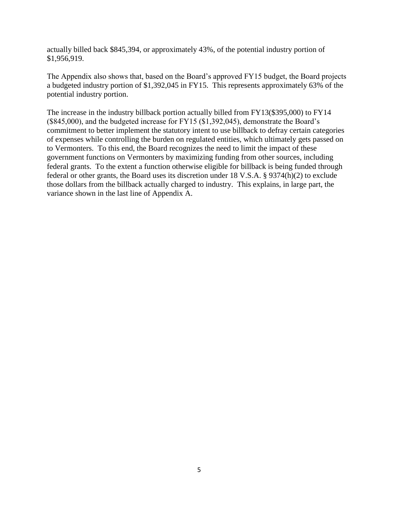actually billed back \$845,394, or approximately 43%, of the potential industry portion of \$1,956,919.

The Appendix also shows that, based on the Board's approved FY15 budget, the Board projects a budgeted industry portion of \$1,392,045 in FY15. This represents approximately 63% of the potential industry portion.

The increase in the industry billback portion actually billed from FY13(\$395,000) to FY14 (\$845,000), and the budgeted increase for FY15 (\$1,392,045), demonstrate the Board's commitment to better implement the statutory intent to use billback to defray certain categories of expenses while controlling the burden on regulated entities, which ultimately gets passed on to Vermonters. To this end, the Board recognizes the need to limit the impact of these government functions on Vermonters by maximizing funding from other sources, including federal grants. To the extent a function otherwise eligible for billback is being funded through federal or other grants, the Board uses its discretion under 18 V.S.A. § 9374(h)(2) to exclude those dollars from the billback actually charged to industry. This explains, in large part, the variance shown in the last line of Appendix A.